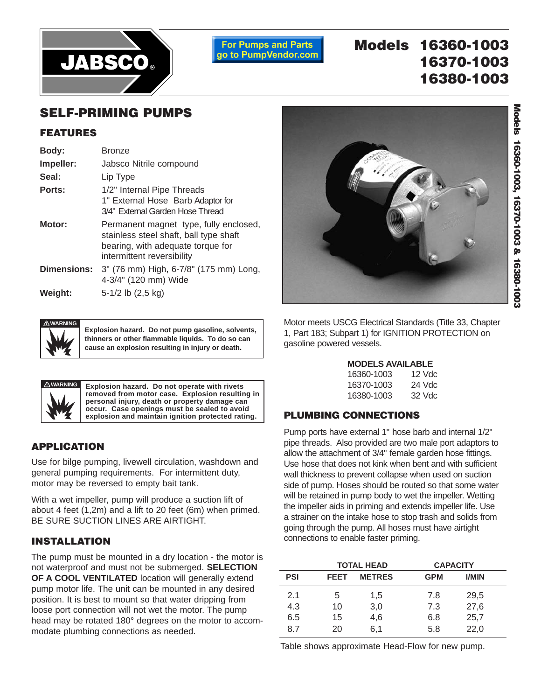

**For Pumps and Parts** go to PumpVendor.com

# **Models 16360-1003 16370-1003 16380-1003**

## **SELF-PRIMING PUMPS**

### **FEATURES**

| Body:              | <b>Bronze</b>                                                                                                                                       |
|--------------------|-----------------------------------------------------------------------------------------------------------------------------------------------------|
| Impeller:          | Jabsco Nitrile compound                                                                                                                             |
| Seal:              | Lip Type                                                                                                                                            |
| Ports:             | 1/2" Internal Pipe Threads<br>1" External Hose Barb Adaptor for<br>3/4" External Garden Hose Thread                                                 |
| Motor:             | Permanent magnet type, fully enclosed,<br>stainless steel shaft, ball type shaft<br>bearing, with adequate torque for<br>intermittent reversibility |
| <b>Dimensions:</b> | 3" (76 mm) High, 6-7/8" (175 mm) Long,<br>4-3/4" (120 mm) Wide                                                                                      |
| Weight:            | 5-1/2 lb (2,5 kg)                                                                                                                                   |



**Explosion hazard. Do not pump gasoline, solvents, thinners or other flammable liquids. To do so can cause an explosion resulting in injury or death.**



**Explosion hazard. Do not operate with rivets removed from motor case. Explosion resulting in personal injury, death or property damage can occur. Case openings must be sealed to avoid explosion and maintain ignition protected rating.**

### **APPLICATION**

Use for bilge pumping, livewell circulation, washdown and general pumping requirements. For intermittent duty, motor may be reversed to empty bait tank.

With a wet impeller, pump will produce a suction lift of about 4 feet (1,2m) and a lift to 20 feet (6m) when primed. BE SURE SUCTION LINES ARE AIRTIGHT.

### **INSTALLATION**

The pump must be mounted in a dry location - the motor is not waterproof and must not be submerged. **SELECTION OF A COOL VENTILATED** location will generally extend pump motor life. The unit can be mounted in any desired position. It is best to mount so that water dripping from loose port connection will not wet the motor. The pump head may be rotated 180° degrees on the motor to accommodate plumbing connections as needed.



Motor meets USCG Electrical Standards (Title 33, Chapter 1, Part 183; Subpart 1) for IGNITION PROTECTION on gasoline powered vessels.

| <b>MODELS AVAILABLE</b> |       |
|-------------------------|-------|
| 10000, 1000             | 10111 |

| 16360-1003 | $12$ Vdc |
|------------|----------|
| 16370-1003 | 24 Vdc   |
| 16380-1003 | $32$ Vdc |

### **PLUMBING CONNECTIONS**

Pump ports have external 1" hose barb and internal 1/2" pipe threads. Also provided are two male port adaptors to allow the attachment of 3/4" female garden hose fittings. Use hose that does not kink when bent and with sufficient wall thickness to prevent collapse when used on suction side of pump. Hoses should be routed so that some water will be retained in pump body to wet the impeller. Wetting the impeller aids in priming and extends impeller life. Use a strainer on the intake hose to stop trash and solids from going through the pump. All hoses must have airtight connections to enable faster priming.

|            | <b>TOTAL HEAD</b> |               | <b>CAPACITY</b> |              |  |
|------------|-------------------|---------------|-----------------|--------------|--|
| <b>PSI</b> | <b>FEET</b>       | <b>METRES</b> | <b>GPM</b>      | <b>I/MIN</b> |  |
| 2.1        | 5                 | 1,5           | 7.8             | 29,5         |  |
| 4.3        | 10                | 3,0           | 7.3             | 27,6         |  |
| 6.5        | 15                | 4,6           | 6.8             | 25,7         |  |
| 8.7        | 20                | 6,1           | 5.8             | 22,0         |  |

Table shows approximate Head-Flow for new pump.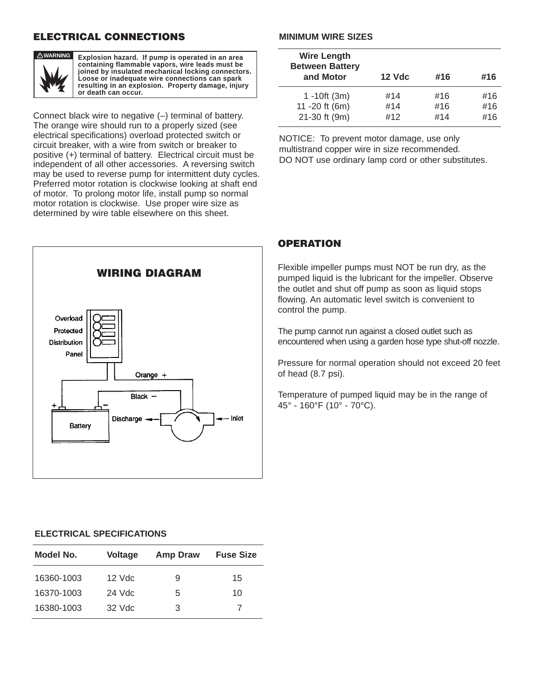### **ELECTRICAL CONNECTIONS**



**Explosion hazard. If pump is operated in an area containing flammable vapors, wire leads must be joined by insulated mechanical locking connectors. Loose or inadequate wire connections can spark resulting in an explosion. Property damage, injury or death can occur.**

Connect black wire to negative (–) terminal of battery. The orange wire should run to a properly sized (see electrical specifications) overload protected switch or circuit breaker, with a wire from switch or breaker to positive (+) terminal of battery. Electrical circuit must be independent of all other accessories. A reversing switch may be used to reverse pump for intermittent duty cycles. Preferred motor rotation is clockwise looking at shaft end of motor. To prolong motor life, install pump so normal motor rotation is clockwise. Use proper wire size as determined by wire table elsewhere on this sheet.



#### **MINIMUM WIRE SIZES**

| <b>Wire Length</b><br><b>Between Battery</b><br>and Motor | <b>12 Vdc</b> | #16 | #16 |
|-----------------------------------------------------------|---------------|-----|-----|
| $1 - 10ft (3m)$                                           | #14           | #16 | #16 |
| 11 -20 ft (6m)                                            | #14           | #16 | #16 |
| 21-30 ft (9m)                                             | #12           | #14 | #16 |

NOTICE: To prevent motor damage, use only multistrand copper wire in size recommended. DO NOT use ordinary lamp cord or other substitutes.

### **OPERATION**

Flexible impeller pumps must NOT be run dry, as the pumped liquid is the lubricant for the impeller. Observe the outlet and shut off pump as soon as liquid stops flowing. An automatic level switch is convenient to control the pump.

The pump cannot run against a closed outlet such as encountered when using a garden hose type shut-off nozzle.

Pressure for normal operation should not exceed 20 feet of head (8.7 psi).

Temperature of pumped liquid may be in the range of 45° - 160°F (10° - 70°C).

### **ELECTRICAL SPECIFICATIONS**

| Model No.  | <b>Voltage</b> | <b>Amp Draw</b> | <b>Fuse Size</b> |
|------------|----------------|-----------------|------------------|
| 16360-1003 | $12$ Vdc       | 9               | 15               |
| 16370-1003 | $24$ Vdc       | 5               | 10               |
| 16380-1003 | $32$ Vdc       | 3               |                  |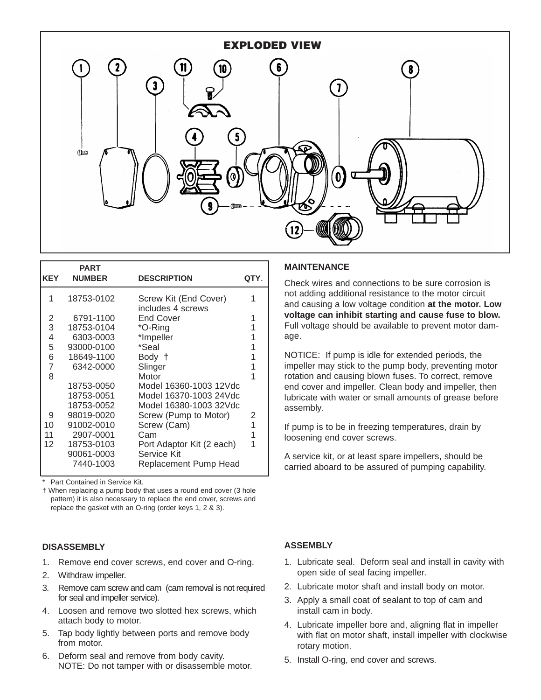

| <b>KEY</b> | <b>PART</b><br><b>NUMBER</b> | <b>DESCRIPTION</b>                         | QTY. |
|------------|------------------------------|--------------------------------------------|------|
| 1          | 18753-0102                   | Screw Kit (End Cover)<br>includes 4 screws | 1    |
| 2          | 6791-1100                    | End Cover                                  |      |
| 3          | 18753-0104                   | *O-Ring                                    |      |
| 4          | 6303-0003                    | *Impeller                                  |      |
| 5          | 93000-0100                   | *Seal                                      |      |
| 6          | 18649-1100                   | Body †                                     |      |
| 7          | 6342-0000                    | Slinger                                    |      |
| 8          |                              | Motor                                      |      |
|            | 18753-0050                   | Model 16360-1003 12Vdc                     |      |
|            | 18753-0051                   | Model 16370-1003 24Vdc                     |      |
|            | 18753-0052                   | Model 16380-1003 32Vdc                     |      |
| 9          | 98019-0020                   | Screw (Pump to Motor)                      | 2    |
| 10         | 91002-0010                   | Screw (Cam)                                | 1    |
| 11         | 2907-0001                    | Cam                                        |      |
| 12         | 18753-0103                   | Port Adaptor Kit (2 each)                  |      |
|            | 90061-0003                   | Service Kit                                |      |
|            | 7440-1003                    | Replacement Pump Head                      |      |
|            |                              |                                            |      |

Part Contained in Service Kit.

† When replacing a pump body that uses a round end cover (3 hole pattern) it is also necessary to replace the end cover, screws and replace the gasket with an O-ring (order keys 1, 2 & 3).

#### **DISASSEMBLY**

- 1. Remove end cover screws, end cover and O-ring.
- 2. Withdraw impeller.
- 3. Remove cam screw and cam (cam removal is not required for seal and impeller service).
- 4. Loosen and remove two slotted hex screws, which attach body to motor.
- 5. Tap body lightly between ports and remove body from motor.
- 6. Deform seal and remove from body cavity. NOTE: Do not tamper with or disassemble motor.

#### **MAINTENANCE**

Check wires and connections to be sure corrosion is not adding additional resistance to the motor circuit and causing a low voltage condition **at the motor. Low voltage can inhibit starting and cause fuse to blow.** Full voltage should be available to prevent motor damage.

NOTICE: If pump is idle for extended periods, the impeller may stick to the pump body, preventing motor rotation and causing blown fuses. To correct, remove end cover and impeller. Clean body and impeller, then lubricate with water or small amounts of grease before assembly.

If pump is to be in freezing temperatures, drain by loosening end cover screws.

A service kit, or at least spare impellers, should be carried aboard to be assured of pumping capability.

### **ASSEMBLY**

- 1. Lubricate seal. Deform seal and install in cavity with open side of seal facing impeller.
- 2. Lubricate motor shaft and install body on motor.
- 3. Apply a small coat of sealant to top of cam and install cam in body.
- 4. Lubricate impeller bore and, aligning flat in impeller with flat on motor shaft, install impeller with clockwise rotary motion.
- 5. Install O-ring, end cover and screws.